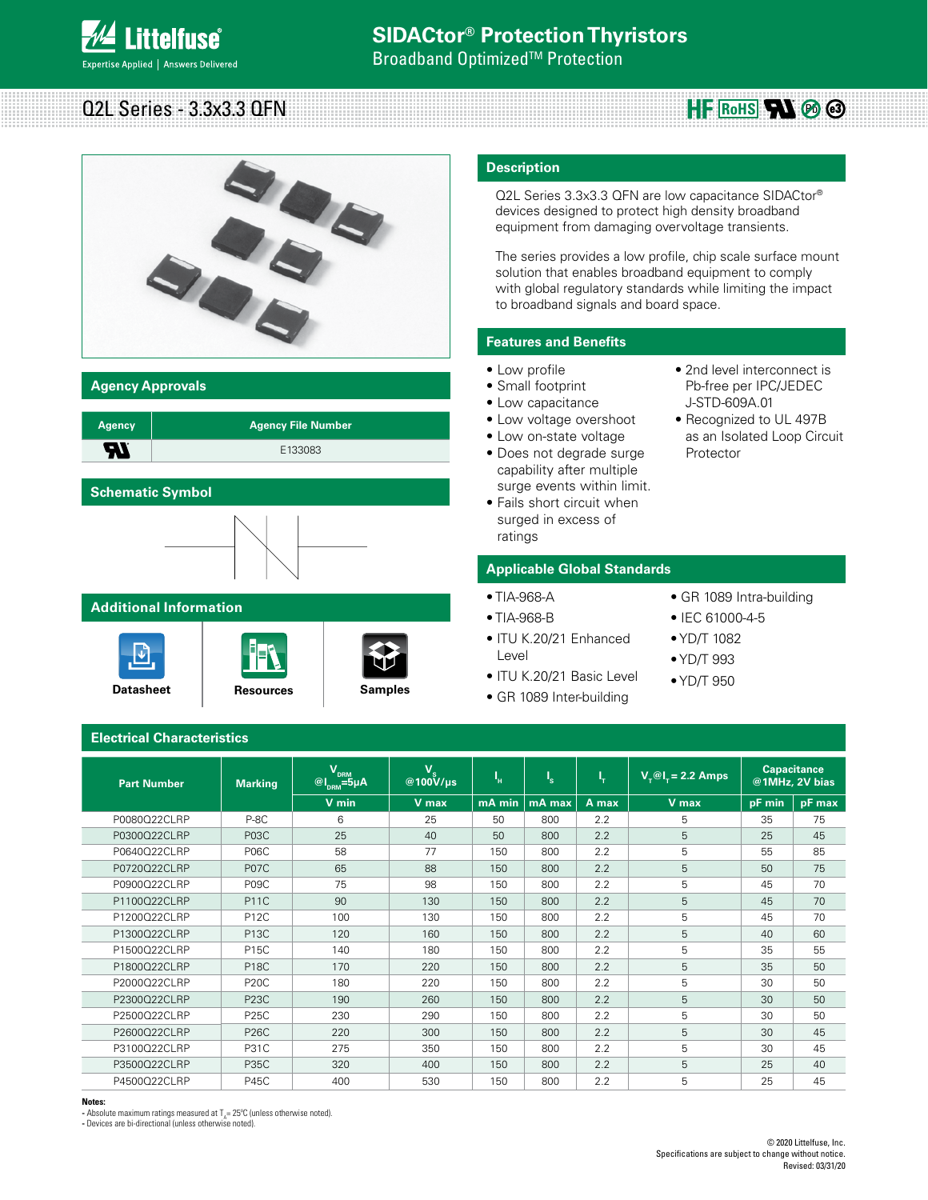# **Littelfuse**® xpertise Applied | Answers Delivered

#### Q2L Series - 3.3x3.3 QFN **HE ROHS RN**  $\otimes$   $\otimes$



**Agency Approvals**

| <b>Agency</b> | <b>Agency File Number</b> |
|---------------|---------------------------|
| - 1           | E133083                   |

# **Schematic Symbol**



## **Additional Information**

**Electrical Characteristics**





### **Description**

Q2L Series 3.3x3.3 QFN are low capacitance SIDACtor® devices designed to protect high density broadband equipment from damaging overvoltage transients.

The series provides a low profile, chip scale surface mount solution that enables broadband equipment to comply with global regulatory standards while limiting the impact to broadband signals and board space.

## **Features and Benefits**

- Low profile
- Small footprint
- Low capacitance
- Low voltage overshoot
- Low on-state voltage
- Does not degrade surge capability after multiple surge events within limit.
- Fails short circuit when surged in excess of ratings

## **Applicable Global Standards**

- TIA-968-A
- TIA-968-B
- ITU K.20/21 Enhanced Level
- ITU K.20/21 Basic Level
- GR 1089 Inter-building
- 2nd level interconnect is Pb-free per IPC/JEDEC J-STD-609A.01
- Recognized to UL 497B as an Isolated Loop Circuit Protector

- GR 1089 Intra-building
- IEC 61000-4-5
- YD/T 1082
- YD/T 993
- YD/T 950

**Part Number** Marking  $\mathsf{V}_{\mathsf{dRM}}$ **@lDRM=5µA VS @100V/µs <sup>I</sup>**  $\mathbf{l}_{\mathbf{H}}$  **I**  $\mathbf{l}_{\mathbf{S}}$ **<sup>S</sup> I**  $T_{\text{r}}$   $V_{\text{r}}@T_{\text{r}}=2.2$  Amps  $\overline{C}$  Capacitance **@1MHz, 2V bias V min V max mA min mA max A max V max pF min pF max** P0080Q22CLRP | P-8C | 6 | 25 | 50 | 800 | 2.2 | 5 | 35 | 75 P0300Q22CLRP | P03C | 25 | 40 | 50 | 800 | 2.2 | 5 | 25 | 45 P0640Q22CLRP | P06C | 58 | 77 | 150 | 800 | 2.2 | 55 | 55 | 85 P0720Q22CLRP P07C 65 88 150 800 2.2 5 50 75 P0900Q22CLRP | P09C | 75 | 98 | 150 | 800 | 2.2 | 5 | 45 | 70 P1100Q22CLRP | P11C | 90 | 130 | 150 | 800 | 2.2 | 5 | 45 | 70 P1200Q22CLRP | P12C | 100 | 130 | 150 | 800 | 2.2 | 5 | | 45 | 70 P1300Q22CLRP | P13C | 120 | 160 | 150 | 800 | 2.2 | 5 | 40 | 60 P1500Q22CLRP | P15C | 140 | 180 | 150 | 800 | 2.2 | 5 | 35 | 55 P1800Q22CLRP | P18C | 170 | 220 | 150 | 800 | 2.2 | 5 | 35 | 50 P2000Q22CLRP | P20C | 180 | 220 | 150 | 800 | 2.2 | 5 | 30 | 50 P2300Q22CLRP P23C 190 260 150 800 2.2 5 30 50 P2500Q22CLRP | P25C | 230 | 290 | 150 | 800 | 2.2 | 5 | 30 | 50 P2600Q22CLRP P26C 220 300 150 800 2.2 5 30 45 P3100Q22CLRP | P31C | 275 | 350 | 150 | 800 | 2.2 | 5 | 30 | 45 P3500Q22CLRP | P35C | 320 | 400 | 150 | 800 | 2.2 | 5 | 25 | 40 P4500Q22CLRP | P45C | 400 | 530 | 150 | 800 | 2.2 | 5 | 25 | 45

#### **Notes:**

- Absolute maximum ratings measured at T<sub>A</sub>= 25°C (unless otherwise noted).

**-** Devices are bi-directional (unless otherwise noted).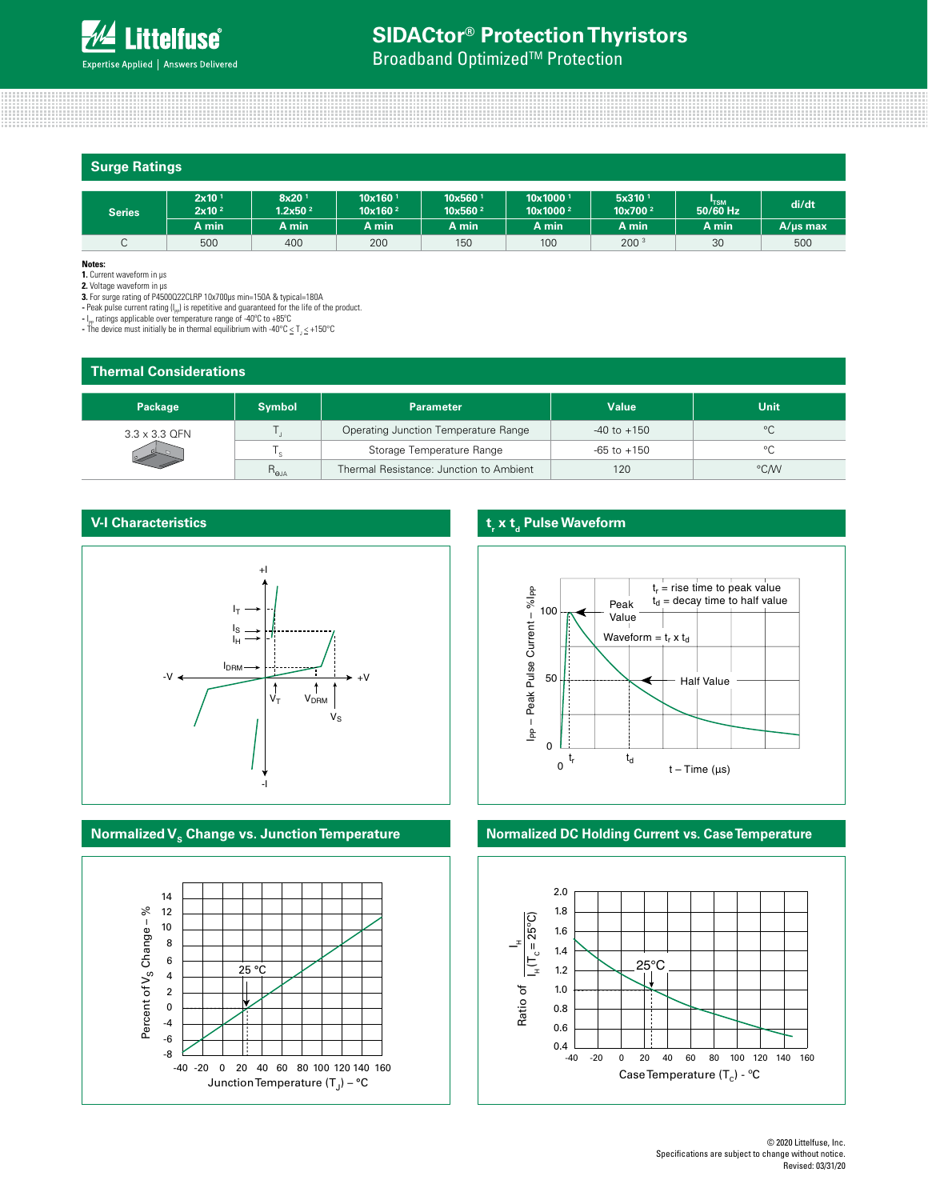# **SIDACtor® Protection Thyristors**

**Broadband Optimized<sup>™</sup> Protection** 

| <b>Surge Ratings</b> |                                        |                                          |                                              |                                            |                                              |                                           |            |               |
|----------------------|----------------------------------------|------------------------------------------|----------------------------------------------|--------------------------------------------|----------------------------------------------|-------------------------------------------|------------|---------------|
| <b>Series</b>        | 2x10 <sup>1</sup><br>2x10 <sup>2</sup> | 8x20 <sup>1</sup><br>1.2x50 <sup>2</sup> | $10x160$ <sup>1</sup><br>10x160 <sup>2</sup> | 10x560 <sup>1</sup><br>10x560 <sup>2</sup> | 10x1000 <sup>1</sup><br>10x1000 <sup>2</sup> | 5x310 <sup>1</sup><br>10x700 <sup>2</sup> | $50/60$ Hz | di/dt         |
|                      | A min                                  | A min                                    | A min                                        | A min                                      | A min                                        | A min                                     | A min      | $A/\mu s$ max |
| $\cap$<br>◡          | 500                                    | 400                                      | 200                                          | 150                                        | 100                                          | 200 <sup>3</sup>                          | 30         | 500           |

**Notes:** 

**1.** Current waveform in µs **2.** Voltage waveform in µs

**3.** For surge rating of P4500Q22CLRP 10x700µs min=150A & typical=180A

- Peak pulse current rating ( $I_{PP}$ ) is repetitive and guaranteed for the life of the product.

**-** I<sub>}P</sub> ratings applicable over temperature range of -40°C to +85°C<br>- The device must initially be in thermal equilibrium with -40°C ≤ T<sub>J</sub> ≤ +150°C

| <b>Thermal Considerations</b> |               |                                         |                 |             |  |  |
|-------------------------------|---------------|-----------------------------------------|-----------------|-------------|--|--|
| Package                       | <b>Symbol</b> | <b>Parameter</b>                        | <b>Value</b>    | <b>Unit</b> |  |  |
| $3.3 \times 3.3$ QFN          |               | Operating Junction Temperature Range    | $-40$ to $+150$ | $^{\circ}C$ |  |  |
|                               |               | Storage Temperature Range               | $-65$ to $+150$ | °C          |  |  |
|                               | $R_{\rm eJA}$ | Thermal Resistance: Junction to Ambient | 120             | °C/W        |  |  |

# **V-I Characteristics**





# **t<sub>r</sub>** x t<sub>d</sub> Pulse Waveform



# **Normalized V<sub>s</sub> Change vs. Junction Temperature <b>Normalized DC Holding Current vs. Case Temperature**

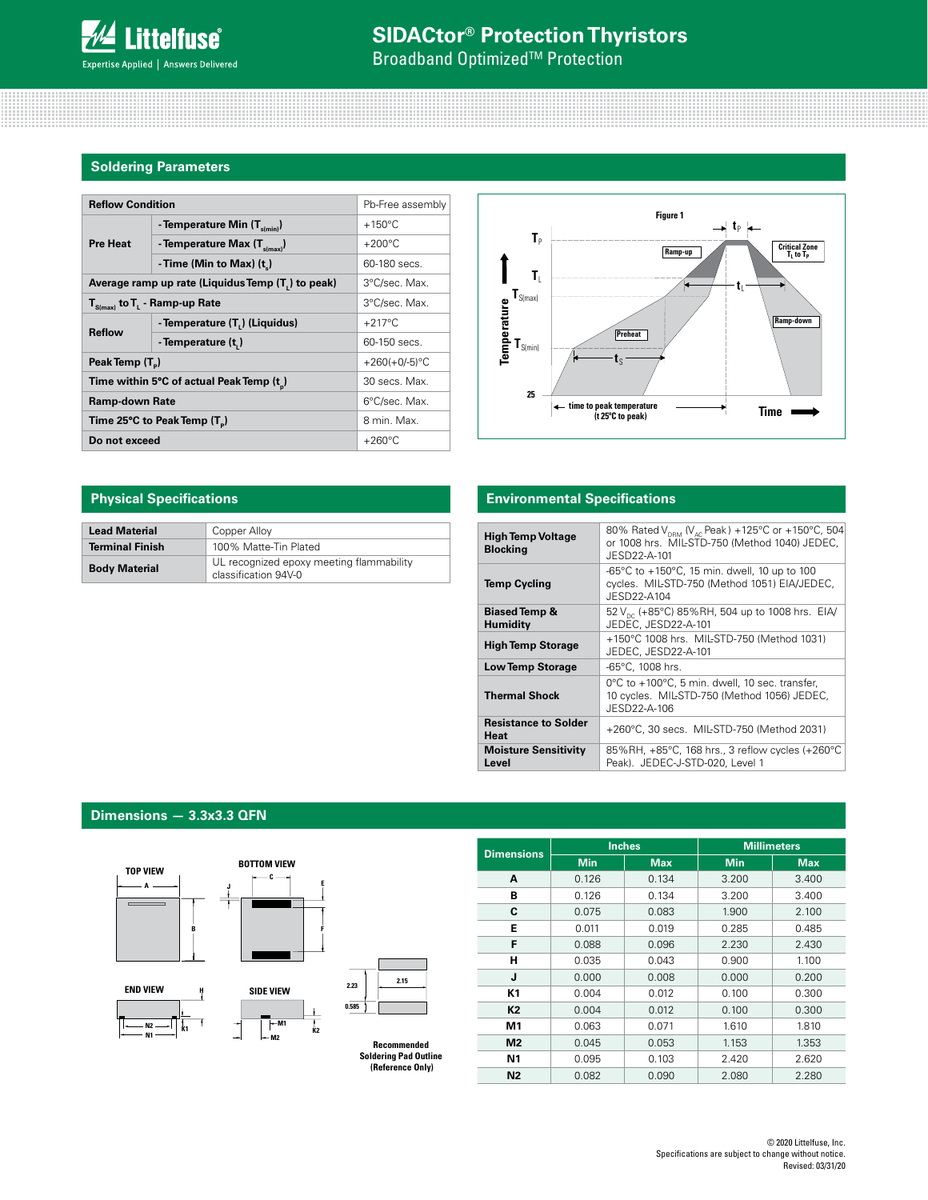# **SIDACtor® Protection Thyristors**

**Broadband Optimized<sup>™</sup> Protection** 

# **Soldering Parameters**

| <b>Reflow Condition</b>                                                             | Pb-Free assembly                           |                  |
|-------------------------------------------------------------------------------------|--------------------------------------------|------------------|
| <b>Pre Heat</b>                                                                     | - Temperature Min $(T_{s(min)})$           | $+150^{\circ}$ C |
|                                                                                     | - Temperature Max $(T_{\text{simax}})$     | $+200^{\circ}$ C |
|                                                                                     | - Time (Min to Max) (t)                    | 60-180 secs.     |
| Average ramp up rate (Liquidus Temp (T ) to peak)                                   | 3°C/sec. Max.                              |                  |
| $\mathbf{T}_{\mathsf{S}(\mathsf{max})}$ to $\mathbf{T}_{\mathsf{L}}$ - Ramp-up Rate | 3°C/sec. Max.                              |                  |
| <b>Reflow</b>                                                                       | - Temperature (T <sub>1</sub> ) (Liquidus) | $+217^{\circ}$ C |
|                                                                                     | - Temperature (t,)                         | 60-150 secs.     |
| Peak Temp (T <sub>a</sub> )                                                         |                                            | $+260(+0/-5)$ °C |
|                                                                                     | Time within 5°C of actual Peak Temp (t)    | 30 secs. Max.    |
| <b>Ramp-down Rate</b>                                                               |                                            | 6°C/sec. Max.    |
| Time 25°C to Peak Temp (T <sub>n</sub> )                                            |                                            | 8 min. Max.      |
| Do not exceed                                                                       | $+260^{\circ}$ C                           |                  |



| <b>Lead Material</b>   | Copper Alloy                                                     |
|------------------------|------------------------------------------------------------------|
| <b>Terminal Finish</b> | 100% Matte-Tin Plated                                            |
| <b>Body Material</b>   | UL recognized epoxy meeting flammability<br>classification 94V-0 |

# **Physical Specifications Environmental Specifications**

| <b>High Temp Voltage</b><br><b>Blocking</b> | 80% Rated V <sub>DRM</sub> (V <sub>AC</sub> Peak) +125°C or +150°C, 504<br>or 1008 hrs. MIL-STD-750 (Method 1040) JEDEC.<br>JESD22-A-101 |
|---------------------------------------------|------------------------------------------------------------------------------------------------------------------------------------------|
| <b>Temp Cycling</b>                         | -65°C to $+150$ °C, 15 min. dwell, 10 up to 100<br>cycles. MIL-STD-750 (Method 1051) EIA/JEDEC,<br>$JFSD22-A104$                         |
| <b>Biased Temp &amp;</b><br>Humidity        | 52 $V_{\text{nc}}$ (+85°C) 85%RH, 504 up to 1008 hrs. EIA/<br>JEDEC, JESD22-A-101                                                        |
| <b>High Temp Storage</b>                    | +150°C 1008 hrs. MIL-STD-750 (Method 1031)<br>JEDEC, JESD22-A-101                                                                        |
| <b>Low Temp Storage</b>                     | $-65^{\circ}$ C. 1008 hrs.                                                                                                               |
| <b>Thermal Shock</b>                        | 0°C to +100°C, 5 min. dwell, 10 sec. transfer,<br>10 cycles. MIL-STD-750 (Method 1056) JEDEC,<br>JESD22-A-106                            |
| <b>Resistance to Solder</b><br>Heat         | +260°C, 30 secs. MIL-STD-750 (Method 2031)                                                                                               |
| <b>Moisture Sensitivity</b><br>Level        | 85%RH, +85°C, 168 hrs., 3 reflow cycles (+260°C<br>Peak). JEDEC-J-STD-020, Level 1                                                       |

# **Dimensions — 3.3x3.3 QFN**



**(Reference Only)**

| <b>Dimensions</b> | <b>Min</b> | <b>Max</b> | <b>Min</b> | <b>Max</b> |  |
|-------------------|------------|------------|------------|------------|--|
| A                 | 0.126      | 0.134      | 3.200      | 3.400      |  |
| в                 | 0.126      | 0.134      | 3.200      | 3.400      |  |
| C                 | 0.075      | 0.083      | 1.900      | 2.100      |  |
| E                 | 0.011      | 0.019      | 0.285      | 0.485      |  |
| F                 | 0.088      | 0.096      | 2.230      | 2.430      |  |
| н                 | 0.035      | 0.043      | 0.900      | 1.100      |  |
| J                 | 0.000      | 0.008      | 0.000      | 0.200      |  |
| K1                | 0.004      | 0.012      | 0.100      | 0.300      |  |
| <b>K2</b>         | 0.004      | 0.012      | 0.100      | 0.300      |  |
| M1                | 0.063      | 0.071      | 1.610      | 1.810      |  |
| M <sub>2</sub>    | 0.045      | 0.053      | 1.153      | 1.353      |  |
| <b>N1</b>         | 0.095      | 0.103      | 2.420      | 2.620      |  |
| <b>N2</b>         | 0.082      | 0.090      | 2.080      | 2.280      |  |

**Inches Millimeters**